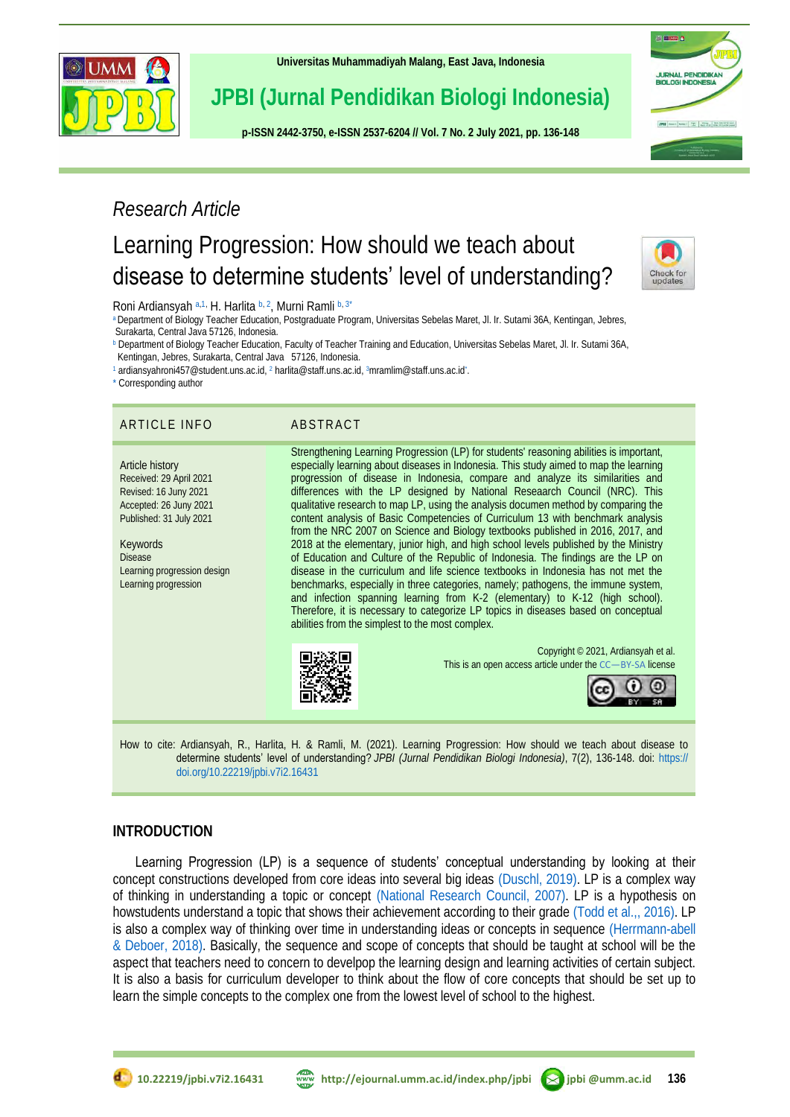

**[Universitas Muhammadiyah Malang,](http://ejournal.umm.ac.id/) East Java, Indonesia**

# **JPBI (Jurnal Pendidikan Biologi Indonesia)**

**p-ISS[N 2442-3750,](http://u.lipi.go.id/1422867894) e-ISSN [2537-6204](http://u.lipi.go.id/1460300524) // Vol. 7 No. 2 July 2021, pp. 136-148**

# *Research Article*

# Learning Progression: How should we teach about disease to determine students' level of understanding?



**IN BREST A** 

JURNAL PENDIDIKAN<br>BIOLOGI INDONESIA

4 Mone 1 Part damage man man pres

<span id="page-0-3"></span><span id="page-0-1"></span>Roni Ardiansyah [a,](#page-0-0)[1,](#page-0-1) H. Harlita [b,](#page-0-2) [2](#page-0-3), Murni Ramli b, [3\\*](#page-0-4)

<span id="page-0-0"></span>[a](#page-0-0) Department of Biology Teacher Education, Postgraduate Program, Universitas Sebelas Maret, Jl. Ir. Sutami 36A, Kentingan, Jebres, Surakarta, Central Java 57126, Indonesia.

<span id="page-0-2"></span>[b](#page-0-2) Department of Biology Teacher Education, Faculty of Teacher Training and Education, Universitas Sebelas Maret, Jl. Ir. Sutami 36A, Kentingan, Jebres, Surakarta, Central Java 57126, Indonesia.

[1](#page-0-1) ardiansyahroni457@student.uns.ac.id[,](#page-0-3) <sup>2</sup> harlita@staff.uns.ac.id[,](#page-0-4) 3[mramlim@staff.uns.ac.id](mailto:mramlim@staff.uns.ac.id)\* .

<span id="page-0-5"></span>[\\*](#page-0-5) Corresponding author

### ARTICLE INFO ABSTRACT

#### Article history Received: 29 April 2021 Revised: 16 Juny 2021 Accepted: 26 Juny 2021 Published: 31 July 2021

Keywords Disease Learning progression design Learning progression

<span id="page-0-4"></span>Strengthening Learning Progression (LP) for students' reasoning abilities is important, especially learning about diseases in Indonesia. This study aimed to map the learning progression of disease in Indonesia, compare and analyze its similarities and differences with the LP designed by National Reseaarch Council (NRC). This qualitative research to map LP, using the analysis documen method by comparing the content analysis of Basic Competencies of Curriculum 13 with benchmark analysis from the NRC 2007 on Science and Biology textbooks published in 2016, 2017, and 2018 at the elementary, junior high, and high school levels published by the Ministry of Education and Culture of the Republic of Indonesia. The findings are the LP on disease in the curriculum and life science textbooks in Indonesia has not met the benchmarks, especially in three categories, namely; pathogens, the immune system, and infection spanning learning from K-2 (elementary) to K-12 (high school). Therefore, it is necessary to categorize LP topics in diseases based on conceptual abilities from the simplest to the most complex.



Copyright © 2021, Ardiansyah et al. This is an open access article under the CC—[BY-SA](http://creativecommons.org/licenses/by-sa/4.0/) license



How to cite: Ardiansyah, R., Harlita, H. & Ramli, M. (2021). Learning Progression: How should we teach about disease to determine students' level of understanding? *JPBI (Jurnal Pendidikan Biologi Indonesia)*, 7(2), 136-148. doi: [https://](https://doi.org/10.22219/jpbi.v7i2.16431) [doi.org/10.22219/jpbi.v7i2.16431](https://doi.org/10.22219/jpbi.v7i2.16431)

# **INTRODUCTION**

Learning Progression (LP) is a sequence of students' conceptual understanding by looking at their concept constructions developed from core ideas into several big ideas [\(Duschl, 2019\).](#page-10-0) LP is a complex way of thinking in understanding a topic or concept [\(National Research](#page-11-0) Council, 2007). LP is a hypothesis on howstudents understand a topic that shows their achievement according to their grade (Todd [et al.,, 2016\).](#page-12-0) LP is also a complex way of thinking over time in understanding ideas or concepts in sequence [\(Herrmann-abell](#page-10-1)  & Deboer, 2018). Basically, the sequence and scope of concepts that should be taught at school will be the aspect that teachers need to concern to develpop the learning design and learning activities of certain subject. It is also a basis for curriculum developer to think about the flow of core concepts that should be set up to learn the simple concepts to the complex one from the lowest level of school to the highest.

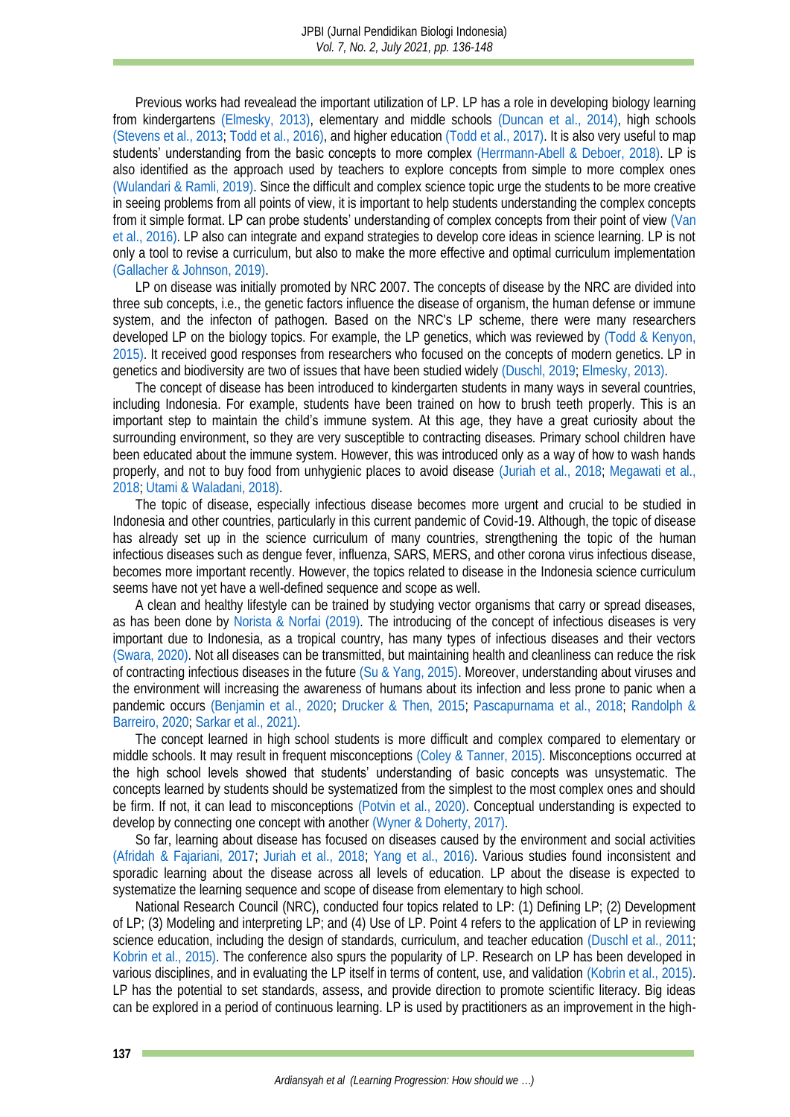Previous works had revealead the important utilization of LP. LP has a role in developing biology learning from kindergartens [\(Elmesky, 2013\),](#page-10-2) elementary and middle schools (Duncan [et al., 2014\),](#page-10-3) high schools (Stevens [et al., 2013;](#page-12-1) [Todd et al., 2016\),](#page-12-0) and higher education (Todd [et al., 2017\).](#page-12-2) It is also very useful to map students' understanding from the basic concepts to more complex [\(Herrmann-Abell & Deboer, 2018\).](#page-10-1) LP is also identified as the approach used by teachers to explore concepts from simple to more complex ones [\(Wulandari & Ramli, 2019\).](#page-12-3) Since the difficult and complex science topic urge the students to be more creative in seeing problems from all points of view, it is important to help students understanding the complex concepts from it simple format. LP can probe students' understanding of complex concepts from their point of view [\(Van](#page-12-4) et al., 2016). LP also can integrate and expand strategies to develop core ideas in science learning. LP is not only a tool to revise a curriculum, but also to make the more effective and optimal curriculum implementation [\(Gallacher & Johnson, 2019\).](#page-10-4)

LP on disease was initially promoted by NRC 2007. The concepts of disease by the NRC are divided into three sub concepts, i.e., the genetic factors influence the disease of organism, the human defense or immune system, and the infecton of pathogen. Based on the NRC's LP scheme, there were many researchers developed LP on the biology topics. For example, the LP genetics, which was reviewed by (Todd [& Kenyon,](#page-12-5)  2015). It received good responses from researchers who focused on the concepts of modern genetics. LP in genetics and biodiversity are two of issues that have been studied widely [\(Duschl, 2019;](#page-10-0) [Elmesky, 2013\).](#page-10-2)

The concept of disease has been introduced to kindergarten students in many ways in several countries, including Indonesia. For example, students have been trained on how to brush teeth properly. This is an important step to maintain the child's immune system. At this age, they have a great curiosity about the surrounding environment, so they are very susceptible to contracting diseases. Primary school children have been educated about the immune system. However, this was introduced only as a way of how to wash hands properly, and not to buy food from unhygienic places to avoid disease [\(Juriah](#page-11-1) et al., 2018; [Megawati](#page-11-2) et al., [2018;](#page-11-2) [Utami & Waladani, 2018\).](#page-12-6)

The topic of disease, especially infectious disease becomes more urgent and crucial to be studied in Indonesia and other countries, particularly in this current pandemic of Covid-19. Although, the topic of disease has already set up in the science curriculum of many countries, strengthening the topic of the human infectious diseases such as dengue fever, influenza, SARS, MERS, and other corona virus infectious disease, becomes more important recently. However, the topics related to disease in the Indonesia science curriculum seems have not yet have a well-defined sequence and scope as well.

A clean and healthy lifestyle can be trained by studying vector organisms that carry or spread diseases, as has been done by [Norista & Norfai \(2019\).](#page-11-3) The introducing of the concept of infectious diseases is very important due to Indonesia, as a tropical country, has many types of infectious diseases and their vectors [\(Swara, 2020\).](#page-12-7) Not all diseases can be transmitted, but maintaining health and cleanliness can reduce the risk of contracting infectious diseases in the future [\(Su & Yang, 2015\).](#page-12-8) Moreover, understanding about viruses and the environment will increasing the awareness of humans about its infection and less prone to panic when a pandemic occurs (Benjamin [et al., 2020;](#page-10-5) [Drucker & Then, 2015;](#page-10-6) [Pascapurnama](#page-11-4) et al., 2018; [Randolph &](#page-11-5)  [Barreiro, 2020;](#page-11-5) Sarkar [et al., 2021\).](#page-11-6)

The concept learned in high school students is more difficult and complex compared to elementary or middle schools. It may result in frequent misconceptions [\(Coley & Tanner, 2015\).](#page-10-7) Misconceptions occurred at the high school levels showed that students' understanding of basic concepts was unsystematic. The concepts learned by students should be systematized from the simplest to the most complex ones and should be firm. If not, it can lead to misconceptions [\(Potvin et al., 2020\).](#page-11-7) Conceptual understanding is expected to develop by connecting one concept with another [\(Wyner & Doherty, 2017\).](#page-12-9)

So far, learning about disease has focused on diseases caused by the environment and social activities [\(Afridah & Fajariani, 2017;](#page-10-8) [Juriah et al., 2018;](#page-11-1) Yang [et al., 2016\).](#page-12-10) Various studies found inconsistent and sporadic learning about the disease across all levels of education. LP about the disease is expected to systematize the learning sequence and scope of disease from elementary to high school.

National Research Council (NRC), conducted four topics related to LP: (1) Defining LP; (2) Development of LP; (3) Modeling and interpreting LP; and (4) Use of LP. Point 4 refers to the application of LP in reviewing science education, including the design of standards, curriculum, and teacher education (Duschl [et al., 2011;](#page-10-9) Kobrin [et al., 2015\).](#page-11-8) The conference also spurs the popularity of LP. Research on LP has been developed in various disciplines, and in evaluating the LP itself in terms of content, use, and validation [\(Kobrin et al., 2015\).](#page-11-8) LP has the potential to set standards, assess, and provide direction to promote scientific literacy. Big ideas can be explored in a period of continuous learning. LP is used by practitioners as an improvement in the high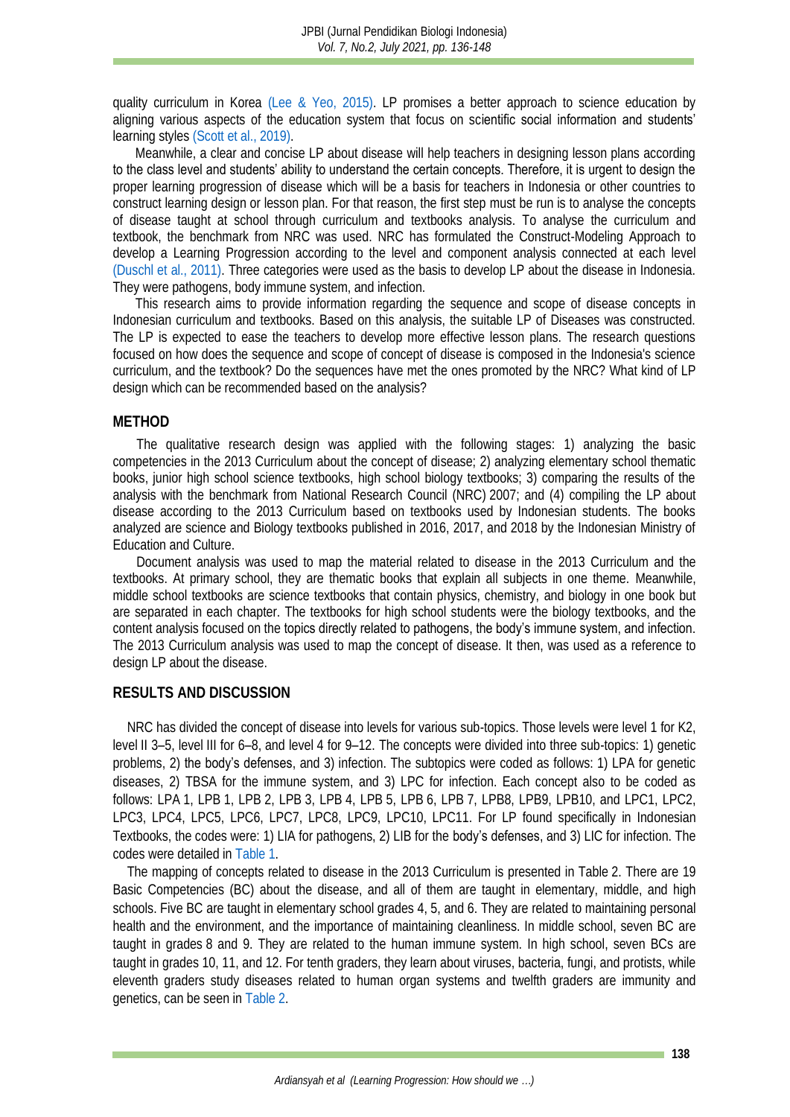quality curriculum in Korea [\(Lee & Yeo, 2015\).](#page-11-9) LP promises a better approach to science education by aligning various aspects of the education system that focus on scientific social information and students' learning styles (Scott [et al., 2019\).](#page-11-10)

Meanwhile, a clear and concise LP about disease will help teachers in designing lesson plans according to the class level and students' ability to understand the certain concepts. Therefore, it is urgent to design the proper learning progression of disease which will be a basis for teachers in Indonesia or other countries to construct learning design or lesson plan. For that reason, the first step must be run is to analyse the concepts of disease taught at school through curriculum and textbooks analysis. To analyse the curriculum and textbook, the benchmark from NRC was used. NRC has formulated the Construct-Modeling Approach to develop a Learning Progression according to the level and component analysis connected at each level [\(Duschl et al., 2011\).](#page-10-9) Three categories were used as the basis to develop LP about the disease in Indonesia. They were pathogens, body immune system, and infection.

This research aims to provide information regarding the sequence and scope of disease concepts in Indonesian curriculum and textbooks. Based on this analysis, the suitable LP of Diseases was constructed. The LP is expected to ease the teachers to develop more effective lesson plans. The research questions focused on how does the sequence and scope of concept of disease is composed in the Indonesia's science curriculum, and the textbook? Do the sequences have met the ones promoted by the NRC? What kind of LP design which can be recommended based on the analysis?

#### **METHOD**

The qualitative research design was applied with the following stages: 1) analyzing the basic competencies in the 2013 Curriculum about the concept of disease; 2) analyzing elementary school thematic books, junior high school science textbooks, high school biology textbooks; 3) comparing the results of the analysis with the benchmark from National Research Council (NRC) 2007; and (4) compiling the LP about disease according to the 2013 Curriculum based on textbooks used by Indonesian students. The books analyzed are science and Biology textbooks published in 2016, 2017, and 2018 by the Indonesian Ministry of Education and Culture.

Document analysis was used to map the material related to disease in the 2013 Curriculum and the textbooks. At primary school, they are thematic books that explain all subjects in one theme. Meanwhile, middle school textbooks are science textbooks that contain physics, chemistry, and biology in one book but are separated in each chapter. The textbooks for high school students were the biology textbooks, and the content analysis focused on the topics directly related to pathogens, the body's immune system, and infection. The 2013 Curriculum analysis was used to map the concept of disease. It then, was used as a reference to design LP about the disease.

#### **RESULTS AND DISCUSSION**

NRC has divided the concept of disease into levels for various sub-topics. Those levels were level 1 for K2, level II 3–5, level III for 6–8, and level 4 for 9–12. The concepts were divided into three sub-topics: 1) genetic problems, 2) the body's defenses, and 3) infection. The subtopics were coded as follows: 1) LPA for genetic diseases, 2) TBSA for the immune system, and 3) LPC for infection. Each concept also to be coded as follows: LPA 1, LPB 1, LPB 2, LPB 3, LPB 4, LPB 5, LPB 6, LPB 7, LPB8, LPB9, LPB10, and LPC1, LPC2, LPC3, LPC4, LPC5, LPC6, LPC7, LPC8, LPC9, LPC10, LPC11. For LP found specifically in Indonesian Textbooks, the codes were: 1) LIA for pathogens, 2) LIB for the **body's defenses**, and 3) LIC for infection. The codes were detailed in [Table](#page-2-0) 1.

<span id="page-2-0"></span>The mapping of concepts related to disease in the 2013 Curriculum is presented in Table 2. There are 19 Basic Competencies (BC) about the disease, and all of them are taught in elementary, middle, and high schools. Five BC are taught in elementary school grades 4, 5, and 6. They are related to maintaining personal health and the environment, and the importance of maintaining cleanliness. In middle school, seven BC are taught in grades 8 and 9. They are related to the human immune system. In high school, seven BCs are taught in grades 10, 11, and 12. For tenth graders, they learn about viruses, bacteria, fungi, and protists, while eleventh graders study diseases related to human organ systems and twelfth graders are immunity and genetics, can be seen in [Table](#page-4-0) 2.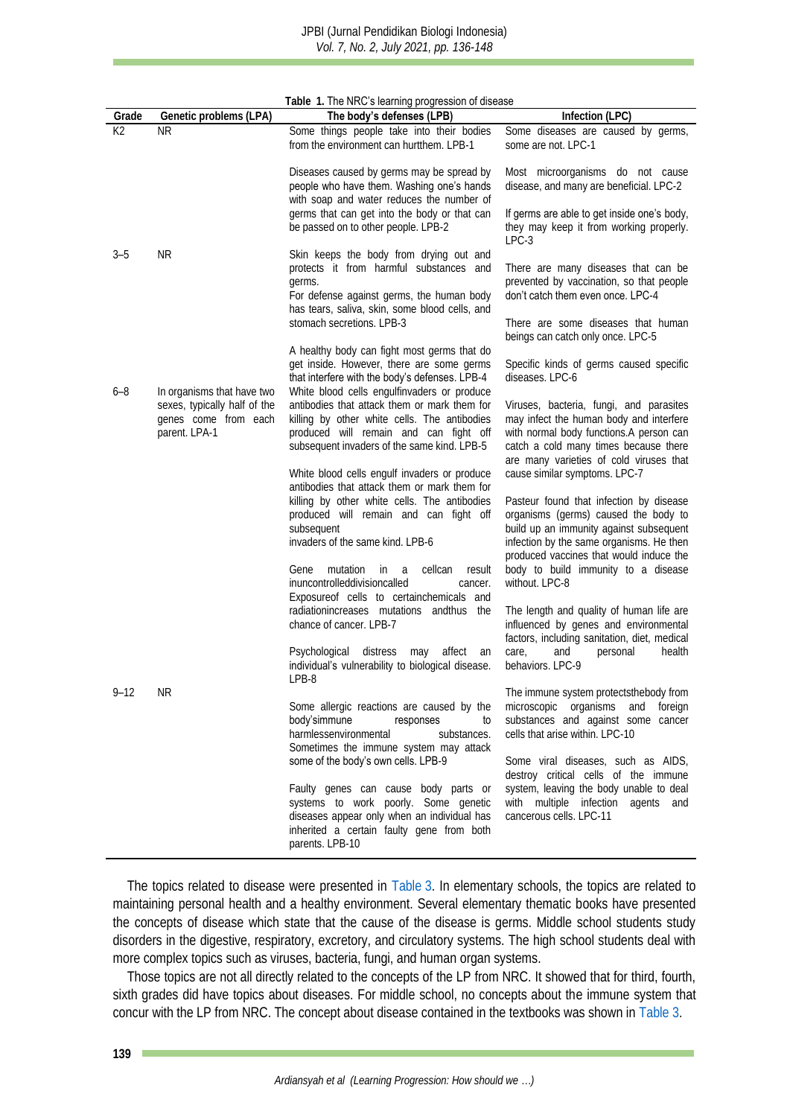|          | Table 1. The NRC's learning progression of disease                    |                                                                                                                                                                                                                                                                                                                                          |                                                                                                                                                                                                                                                                                                             |  |
|----------|-----------------------------------------------------------------------|------------------------------------------------------------------------------------------------------------------------------------------------------------------------------------------------------------------------------------------------------------------------------------------------------------------------------------------|-------------------------------------------------------------------------------------------------------------------------------------------------------------------------------------------------------------------------------------------------------------------------------------------------------------|--|
| Grade    | Genetic problems (LPA)                                                | The body's defenses (LPB)                                                                                                                                                                                                                                                                                                                | Infection (LPC)                                                                                                                                                                                                                                                                                             |  |
| K2       | <b>NR</b>                                                             | Some things people take into their bodies<br>from the environment can hurtthem. LPB-1                                                                                                                                                                                                                                                    | Some diseases are caused by germs,<br>some are not. LPC-1                                                                                                                                                                                                                                                   |  |
|          |                                                                       | Diseases caused by germs may be spread by<br>people who have them. Washing one's hands<br>with soap and water reduces the number of                                                                                                                                                                                                      | Most microorganisms do not cause<br>disease, and many are beneficial. LPC-2                                                                                                                                                                                                                                 |  |
|          |                                                                       | germs that can get into the body or that can<br>be passed on to other people. LPB-2                                                                                                                                                                                                                                                      | If germs are able to get inside one's body,<br>they may keep it from working properly.<br>$LPC-3$                                                                                                                                                                                                           |  |
| $3 - 5$  | NR.                                                                   | Skin keeps the body from drying out and<br>protects it from harmful substances and<br>germs.<br>For defense against germs, the human body<br>has tears, saliva, skin, some blood cells, and                                                                                                                                              | There are many diseases that can be<br>prevented by vaccination, so that people<br>don't catch them even once. LPC-4                                                                                                                                                                                        |  |
|          |                                                                       | stomach secretions. LPB-3                                                                                                                                                                                                                                                                                                                | There are some diseases that human<br>beings can catch only once. LPC-5                                                                                                                                                                                                                                     |  |
| 6–8      | In organisms that have two                                            | A healthy body can fight most germs that do<br>get inside. However, there are some germs<br>that interfere with the body's defenses. LPB-4<br>White blood cells engulfinvaders or produce                                                                                                                                                | Specific kinds of germs caused specific<br>diseases. LPC-6                                                                                                                                                                                                                                                  |  |
|          | sexes, typically half of the<br>genes come from each<br>parent. LPA-1 | antibodies that attack them or mark them for<br>killing by other white cells. The antibodies<br>produced will remain and can fight off<br>subsequent invaders of the same kind. LPB-5                                                                                                                                                    | Viruses, bacteria, fungi, and parasites<br>may infect the human body and interfere<br>with normal body functions.A person can<br>catch a cold many times because there<br>are many varieties of cold viruses that                                                                                           |  |
|          |                                                                       | White blood cells engulf invaders or produce<br>antibodies that attack them or mark them for<br>killing by other white cells. The antibodies<br>produced will remain and can fight off<br>subsequent<br>invaders of the same kind. LPB-6<br>mutation<br>in.<br>cellcan<br>result<br>Gene<br>a<br>inuncontrolleddivisioncalled<br>cancer. | cause similar symptoms. LPC-7<br>Pasteur found that infection by disease<br>organisms (germs) caused the body to<br>build up an immunity against subsequent<br>infection by the same organisms. He then<br>produced vaccines that would induce the<br>body to build immunity to a disease<br>without. LPC-8 |  |
|          |                                                                       | Exposureof cells to certainchemicals and<br>radiationincreases mutations andthus the<br>chance of cancer. LPB-7                                                                                                                                                                                                                          | The length and quality of human life are<br>influenced by genes and environmental<br>factors, including sanitation, diet, medical                                                                                                                                                                           |  |
|          |                                                                       | Psychological<br>distress<br>affect<br>may<br>an<br>individual's vulnerability to biological disease.<br>LPB-8                                                                                                                                                                                                                           | care,<br>personal<br>health<br>and<br>behaviors. LPC-9                                                                                                                                                                                                                                                      |  |
| $9 - 12$ | ΝK                                                                    | Some allergic reactions are caused by the<br>body'simmune<br>responses<br>to<br>harmlessenvironmental<br>substances.<br>Sometimes the immune system may attack<br>some of the body's own cells. LPB-9                                                                                                                                    | The immune system protectsthebody from<br>microscopic organisms and<br>toreign<br>substances and against some cancer<br>cells that arise within. LPC-10<br>Some viral diseases, such as AIDS,                                                                                                               |  |
|          |                                                                       | Faulty genes can cause body parts or<br>systems to work poorly. Some genetic<br>diseases appear only when an individual has<br>inherited a certain faulty gene from both<br>parents. LPB-10                                                                                                                                              | destroy critical cells of the immune<br>system, leaving the body unable to deal<br>with multiple infection agents and<br>cancerous cells. LPC-11                                                                                                                                                            |  |

The topics related to disease were presented in [Table](#page-4-1) 3. In elementary schools, the topics are related to maintaining personal health and a healthy environment. Several elementary thematic books have presented the concepts of disease which state that the cause of the disease is germs. Middle school students study disorders in the digestive, respiratory, excretory, and circulatory systems. The high school students deal with more complex topics such as viruses, bacteria, fungi, and human organ systems.

Those topics are not all directly related to the concepts of the LP from NRC. It showed that for third, fourth, sixth grades did have topics about diseases. For middle school, no concepts about the immune system that concur with the LP from NRC. The concept about disease contained in the textbooks was shown i[n Table](#page-4-1) 3.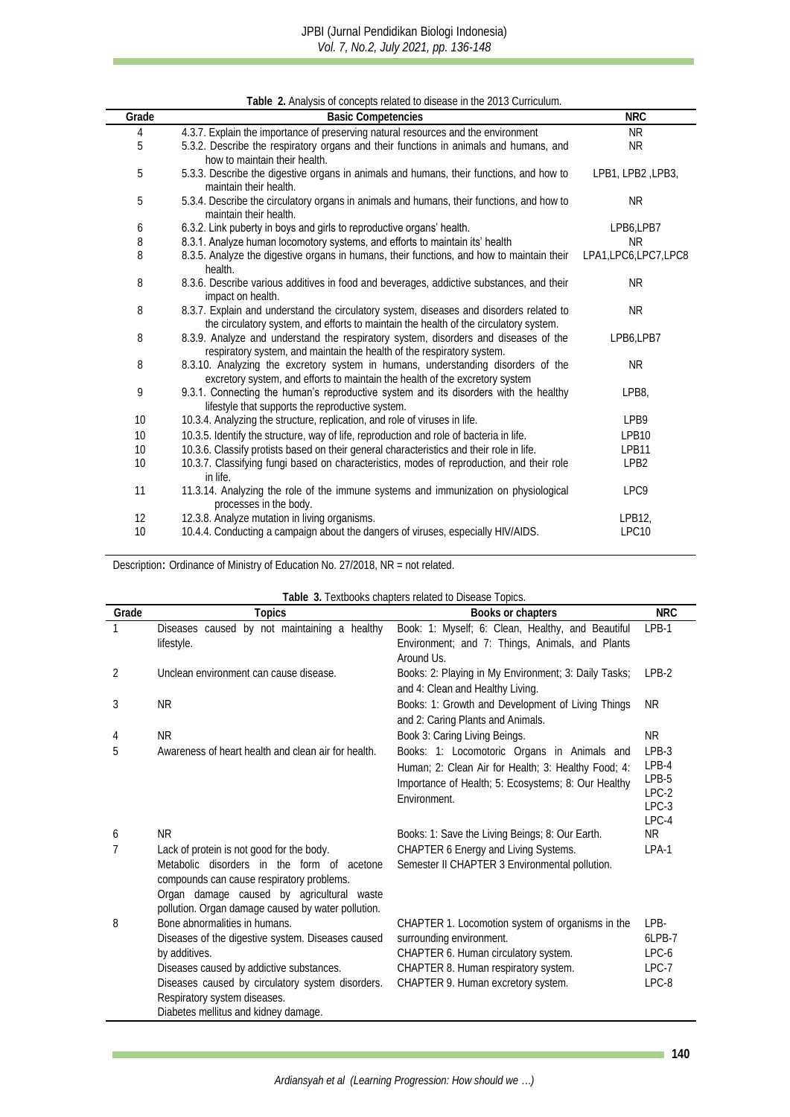**Table 2.** Analysis of concepts related to disease in the 2013 Curriculum.

<span id="page-4-0"></span>

|       | Table 2. Arialysis of concepts related to disease in the 2013 Curriculum.                                                                                                        |                        |
|-------|----------------------------------------------------------------------------------------------------------------------------------------------------------------------------------|------------------------|
| Grade | <b>Basic Competencies</b>                                                                                                                                                        | <b>NRC</b>             |
| 4     | 4.3.7. Explain the importance of preserving natural resources and the environment                                                                                                | <b>NR</b>              |
| 5     | 5.3.2. Describe the respiratory organs and their functions in animals and humans, and<br>how to maintain their health.                                                           | NR.                    |
| 5     | 5.3.3. Describe the digestive organs in animals and humans, their functions, and how to<br>maintain their health.                                                                | LPB1, LPB2, LPB3,      |
| 5     | 5.3.4. Describe the circulatory organs in animals and humans, their functions, and how to<br>maintain their health.                                                              | NR.                    |
| 6     | 6.3.2. Link puberty in boys and girls to reproductive organs' health.                                                                                                            | LPB6,LPB7              |
| 8     | 8.3.1. Analyze human locomotory systems, and efforts to maintain its' health                                                                                                     | NR.                    |
| 8     | 8.3.5. Analyze the digestive organs in humans, their functions, and how to maintain their<br>health.                                                                             | LPA1, LPC6, LPC7, LPC8 |
| 8     | 8.3.6. Describe various additives in food and beverages, addictive substances, and their<br>impact on health.                                                                    | NR.                    |
| 8     | 8.3.7. Explain and understand the circulatory system, diseases and disorders related to<br>the circulatory system, and efforts to maintain the health of the circulatory system. | NR.                    |
| 8     | 8.3.9. Analyze and understand the respiratory system, disorders and diseases of the<br>respiratory system, and maintain the health of the respiratory system.                    | LPB6,LPB7              |
| 8     | 8.3.10. Analyzing the excretory system in humans, understanding disorders of the<br>excretory system, and efforts to maintain the health of the excretory system                 | <b>NR</b>              |
| 9     | 9.3.1. Connecting the human's reproductive system and its disorders with the healthy<br>lifestyle that supports the reproductive system.                                         | LPB8,                  |
| 10    | 10.3.4. Analyzing the structure, replication, and role of viruses in life.                                                                                                       | LPB9                   |
| 10    | 10.3.5. Identify the structure, way of life, reproduction and role of bacteria in life.                                                                                          | LPB10                  |
| 10    | 10.3.6. Classify protists based on their general characteristics and their role in life.                                                                                         | LPB11                  |
| 10    | 10.3.7. Classifying fungi based on characteristics, modes of reproduction, and their role<br>in life.                                                                            | LPB <sub>2</sub>       |
| 11    | 11.3.14. Analyzing the role of the immune systems and immunization on physiological<br>processes in the body.                                                                    | LPC9                   |
| 12    | 12.3.8. Analyze mutation in living organisms.                                                                                                                                    | LPB12,                 |
| 10    | 10.4.4. Conducting a campaign about the dangers of viruses, especially HIV/AIDS.                                                                                                 | LPC10                  |

Description: Ordinance of Ministry of Education No. 27/2018, NR = not related.

<span id="page-4-1"></span>

|       | Table 3. Textbooks chapters related to Disease Topics.                                                                                                                                                                                                                      |                                                                                                                                                                                                    |                                                            |  |  |
|-------|-----------------------------------------------------------------------------------------------------------------------------------------------------------------------------------------------------------------------------------------------------------------------------|----------------------------------------------------------------------------------------------------------------------------------------------------------------------------------------------------|------------------------------------------------------------|--|--|
| Grade | Topics                                                                                                                                                                                                                                                                      | Books or chapters                                                                                                                                                                                  | <b>NRC</b>                                                 |  |  |
|       | Diseases caused by not maintaining a healthy<br>lifestyle.                                                                                                                                                                                                                  | Book: 1: Myself; 6: Clean, Healthy, and Beautiful<br>Environment; and 7: Things, Animals, and Plants<br>Around Us.                                                                                 | LPB-1                                                      |  |  |
| 2     | Unclean environment can cause disease.                                                                                                                                                                                                                                      | Books: 2: Playing in My Environment; 3: Daily Tasks;<br>and 4: Clean and Healthy Living.                                                                                                           | $IPB-2$                                                    |  |  |
| 3     | NR.                                                                                                                                                                                                                                                                         | Books: 1: Growth and Development of Living Things<br>and 2: Caring Plants and Animals.                                                                                                             | NR.                                                        |  |  |
|       | <b>NR</b>                                                                                                                                                                                                                                                                   | Book 3: Caring Living Beings.                                                                                                                                                                      | NR.                                                        |  |  |
| 5     | Awareness of heart health and clean air for health.                                                                                                                                                                                                                         | Books: 1: Locomotoric Organs in Animals and<br>Human; 2: Clean Air for Health; 3: Healthy Food; 4:<br>Importance of Health; 5: Ecosystems; 8: Our Healthy<br>Fnvironment.                          | $IPB-3$<br>$IPB-4$<br>$IPB-5$<br>$LPC-2$<br>LPC-3<br>LPC-4 |  |  |
| 6     | NR.                                                                                                                                                                                                                                                                         | Books: 1: Save the Living Beings; 8: Our Earth.                                                                                                                                                    | NR.                                                        |  |  |
| 7     | Lack of protein is not good for the body.<br>Metabolic disorders in the form of acetone<br>compounds can cause respiratory problems.<br>Organ damage caused by agricultural waste<br>pollution. Organ damage caused by water pollution.                                     | CHAPTER 6 Energy and Living Systems.<br>Semester II CHAPTER 3 Environmental pollution.                                                                                                             | LPA-1                                                      |  |  |
| 8     | Bone abnormalities in humans.<br>Diseases of the digestive system. Diseases caused<br>by additives.<br>Diseases caused by addictive substances.<br>Diseases caused by circulatory system disorders.<br>Respiratory system diseases.<br>Diabetes mellitus and kidney damage. | CHAPTER 1. Locomotion system of organisms in the<br>surrounding environment.<br>CHAPTER 6. Human circulatory system.<br>CHAPTER 8. Human respiratory system.<br>CHAPTER 9. Human excretory system. | I PB-<br>61 PB-7<br>LPC-6<br>$LPC-7$<br>LPC-8              |  |  |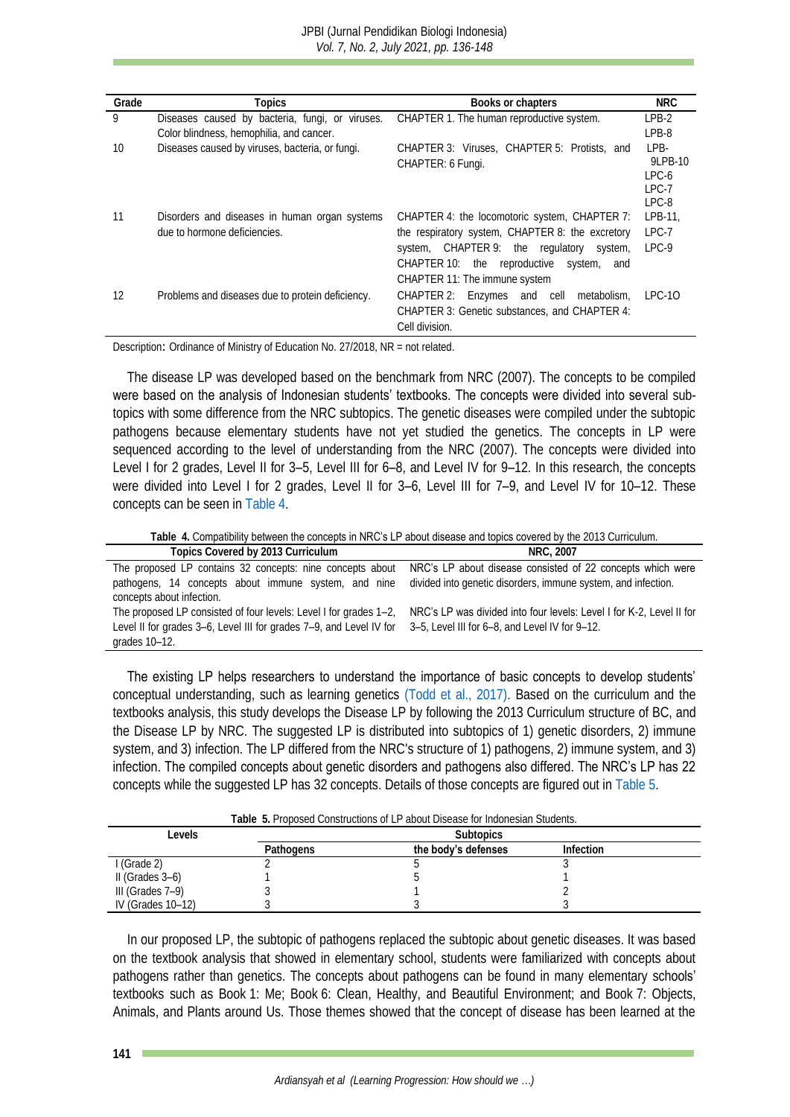| Grade | Topics                                                                                      | Books or chapters                                                                                                                                                                                                                 | <b>NRC</b>                                       |
|-------|---------------------------------------------------------------------------------------------|-----------------------------------------------------------------------------------------------------------------------------------------------------------------------------------------------------------------------------------|--------------------------------------------------|
| 9     | Diseases caused by bacteria, fungi, or viruses.<br>Color blindness, hemophilia, and cancer. | CHAPTER 1. The human reproductive system.                                                                                                                                                                                         | $IPB-2$<br>$IPB-8$                               |
| 10    | Diseases caused by viruses, bacteria, or fungi.                                             | CHAPTER 3: Viruses, CHAPTER 5: Protists, and<br>CHAPTER: 6 Fungi.                                                                                                                                                                 | $IPB-$<br>91 PB-10<br>$PC-6$<br>$PC-7$<br>$PC-8$ |
|       | Disorders and diseases in human organ systems<br>due to hormone deficiencies.               | CHAPTER 4: the locomotoric system, CHAPTER 7:<br>the respiratory system, CHAPTER 8: the excretory<br>system, CHAPTER 9: the regulatory<br>system,<br>CHAPTER 10: the reproductive system,<br>and<br>CHAPTER 11: The immune system | LPB-11,<br>$IPC-7$<br>$PC-9$                     |
| 12    | Problems and diseases due to protein deficiency.                                            | CHAPTER 2: Enzymes and cell<br>metabolism,<br>CHAPTER 3: Genetic substances, and CHAPTER 4:<br>Cell division.                                                                                                                     | TPC-10                                           |

Description: Ordinance of Ministry of Education No. 27/2018, NR = not related.

The disease LP was developed based on the benchmark from NRC (2007). The concepts to be compiled were based on the analysis of Indonesian students' textbooks. The concepts were divided into several subtopics with some difference from the NRC subtopics. The genetic diseases were compiled under the subtopic pathogens because elementary students have not yet studied the genetics. The concepts in LP were sequenced according to the level of understanding from the NRC (2007). The concepts were divided into Level I for 2 grades, Level II for 3–5, Level III for 6–8, and Level IV for 9–12. In this research, the concepts were divided into Level I for 2 grades, Level II for 3–6, Level III for 7–9, and Level IV for 10–12. These concepts can be seen in [Table](#page-5-0) 4.

**Table 4.** Compatibility between the concepts in NRC's LP about disease and topics covered by the 2013 Curriculum.

<span id="page-5-0"></span>

| Topics Covered by 2013 Curriculum                                                                                  | NRC. 2007                                                            |
|--------------------------------------------------------------------------------------------------------------------|----------------------------------------------------------------------|
| The proposed LP contains 32 concepts: nine concepts about                                                          | NRC's LP about disease consisted of 22 concepts which were           |
| pathogens, 14 concepts about immune system, and nine                                                               | divided into genetic disorders, immune system, and infection.        |
| concepts about infection.                                                                                          |                                                                      |
| The proposed LP consisted of four levels: Level I for grades 1–2,                                                  | NRC's LP was divided into four levels: Level I for K-2, Level II for |
| Level II for grades 3–6, Level III for grades 7–9, and Level IV for 3–5, Level III for 6–8, and Level IV for 9–12. |                                                                      |
| grades 10-12.                                                                                                      |                                                                      |

The existing LP helps researchers to understand the importance of basic concepts to develop students' conceptual understanding, such as learning genetics [\(Todd et al., 2017\).](#page-12-2) Based on the curriculum and the textbooks analysis, this study develops the Disease LP by following the 2013 Curriculum structure of BC, and the Disease LP by NRC. The suggested LP is distributed into subtopics of 1) genetic disorders, 2) immune system, and 3) infection. The LP differed from the NRC's structure of 1) pathogens, 2) immune system, and 3) infection. The compiled concepts about genetic disorders and pathogens also differed. The NRC's LP has 22 concepts while the suggested LP has 32 concepts. Details of those concepts are figured out in [Table](#page-5-1) 5.

<span id="page-5-1"></span>

| LADIE D. FTUDUSEU CUITSILUCIUITS UL LF ADUUL DISEASE IUL IITUUTESIAIT SIUUEHIS. |                  |                     |           |  |
|---------------------------------------------------------------------------------|------------------|---------------------|-----------|--|
| evels                                                                           | <b>Subtopics</b> |                     |           |  |
|                                                                                 | <b>Pathogens</b> | the body's defenses | Infection |  |
| I (Grade 2)                                                                     |                  |                     |           |  |
| $\parallel$ (Grades 3–6)                                                        |                  |                     |           |  |
| III (Grades 7-9)                                                                |                  |                     |           |  |
| IV (Grades 10-12)                                                               |                  |                     |           |  |

**Table 5.** Proposed Constructions of LP about Disease for Indonesian Students.

In our proposed LP, the subtopic of pathogens replaced the subtopic about genetic diseases. It was based on the textbook analysis that showed in elementary school, students were familiarized with concepts about pathogens rather than genetics. The concepts about pathogens can be found in many elementary schools' textbooks such as Book 1: Me; Book 6: Clean, Healthy, and Beautiful Environment; and Book 7: Objects, Animals, and Plants around Us. Those themes showed that the concept of disease has been learned at the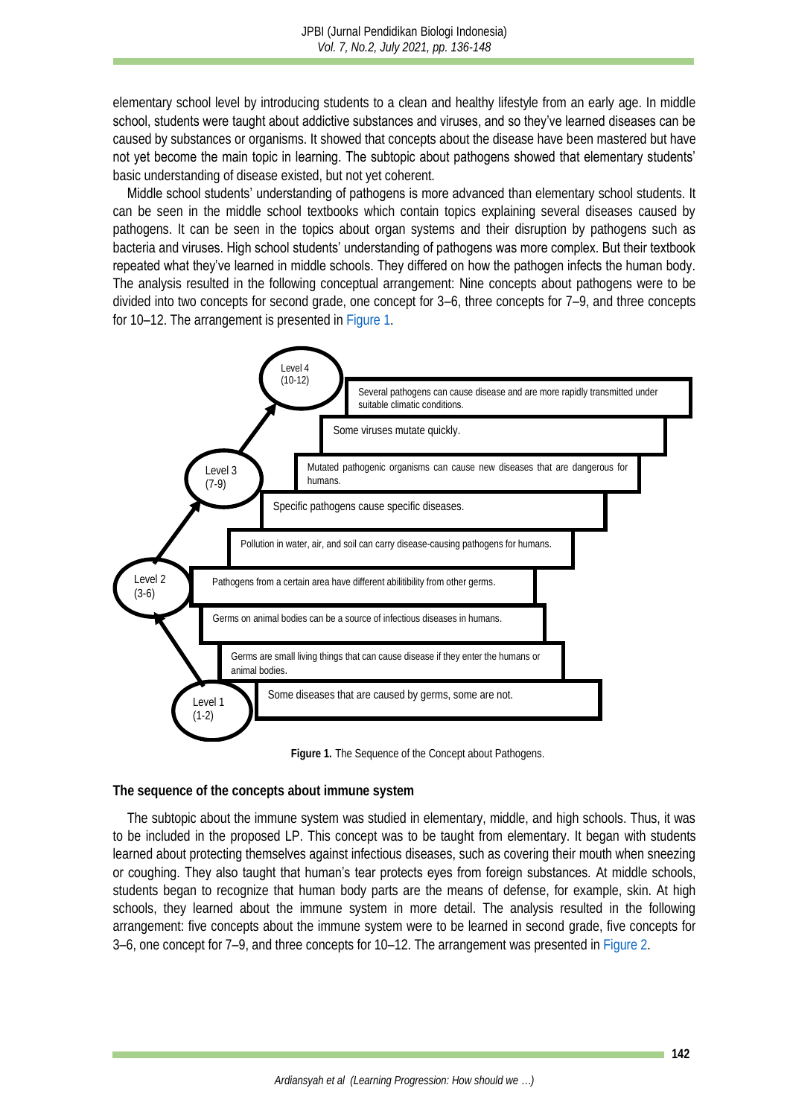elementary school level by introducing students to a clean and healthy lifestyle from an early age. In middle school, students were taught about addictive substances and viruses, and so they've learned diseases can be caused by substances or organisms. It showed that concepts about the disease have been mastered but have not yet become the main topic in learning. The subtopic about pathogens showed that elementary students' basic understanding of disease existed, but not yet coherent.

Middle school students' understanding of pathogens is more advanced than elementary school students. It can be seen in the middle school textbooks which contain topics explaining several diseases caused by pathogens. It can be seen in the topics about organ systems and their disruption by pathogens such as bacteria and viruses. High school students' understanding of pathogens was more complex. But their textbook repeated what they've learned in middle schools. They differed on how the pathogen infects the human body. The analysis resulted in the following conceptual arrangement: Nine concepts about pathogens were to be divided into two concepts for second grade, one concept for 3–6, three concepts for 7–9, and three concepts for 10–12. The arrangement is presented in [Figure](#page-6-0) 1.

<span id="page-6-0"></span>

**Figure 1.** The Sequence of the Concept about Pathogens.

**The sequence of the concepts about immune system**

The subtopic about the immune system was studied in elementary, middle, and high schools. Thus, it was to be included in the proposed LP. This concept was to be taught from elementary. It began with students learned about protecting themselves against infectious diseases, such as covering their mouth when sneezing or coughing. They also taught that human's tear protects eyes from foreign substances. At middle schools, students began to recognize that human body parts are the means of defense, for example, skin. At high schools, they learned about the immune system in more detail. The analysis resulted in the following arrangement: five concepts about the immune system were to be learned in second grade, five concepts for 3–6, one concept for 7–9, and three concepts for 10–12. The arrangement was presented i[n Figure](#page-7-0) 2.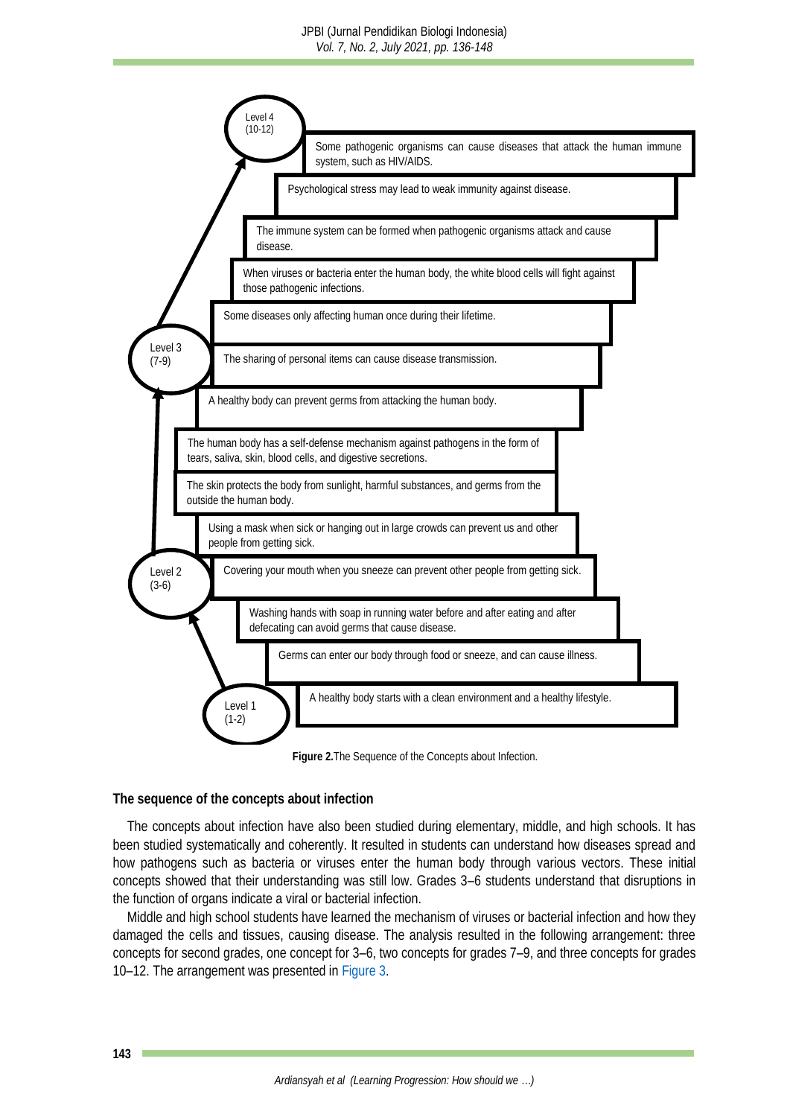<span id="page-7-0"></span>

**Figure 2.**The Sequence of the Concepts about Infection.

**The sequence of the concepts about infection**

The concepts about infection have also been studied during elementary, middle, and high schools. It has been studied systematically and coherently. It resulted in students can understand how diseases spread and how pathogens such as bacteria or viruses enter the human body through various vectors. These initial concepts showed that their understanding was still low. Grades 3–6 students understand that disruptions in the function of organs indicate a viral or bacterial infection.

<span id="page-7-1"></span>Middle and high school students have learned the mechanism of viruses or bacterial infection and how they damaged the cells and tissues, causing disease. The analysis resulted in the following arrangement: three concepts for second grades, one concept for 3–6, two concepts for grades 7–9, and three concepts for grades 10–12. The arrangement was presented i[n Figure](#page-7-1) 3.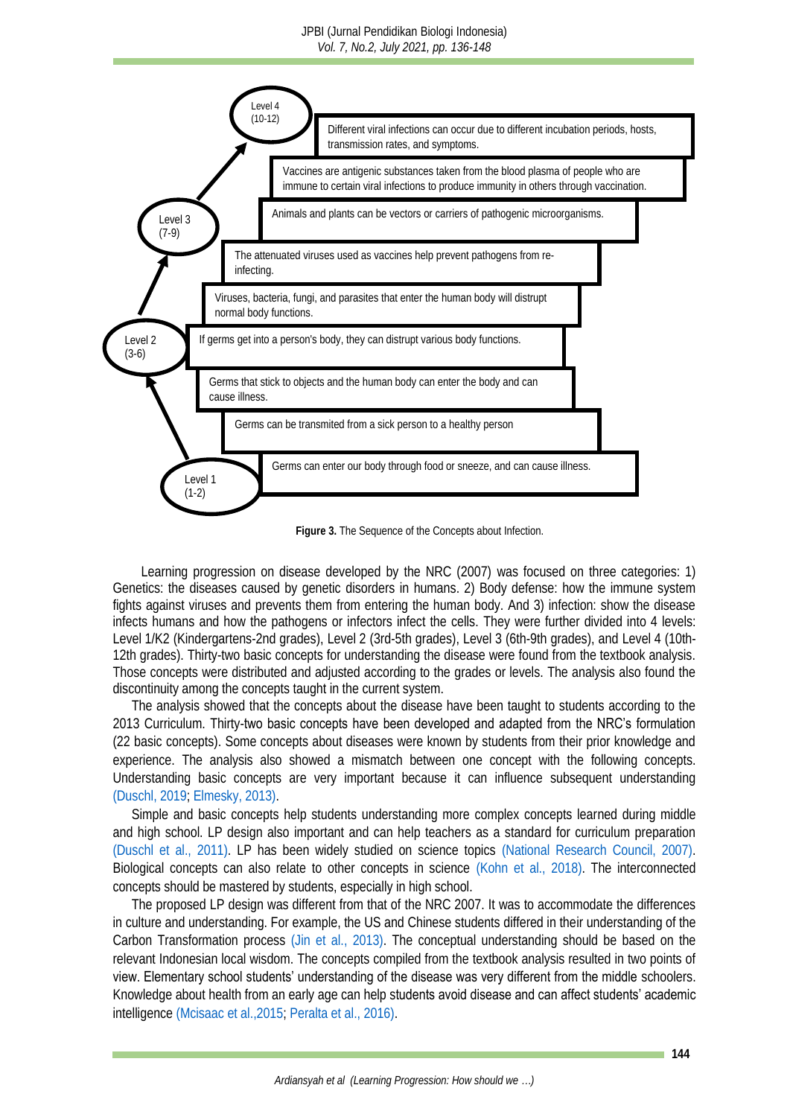#### JPBI (Jurnal Pendidikan Biologi Indonesia) *Vol. 7, No.2, July 2021, pp. 136-148*



**Figure 3.** The Sequence of the Concepts about Infection.

Learning progression on disease developed by the NRC (2007) was focused on three categories: 1) Genetics: the diseases caused by genetic disorders in humans. 2) Body defense: how the immune system fights against viruses and prevents them from entering the human body. And 3) infection: show the disease infects humans and how the pathogens or infectors infect the cells. They were further divided into 4 levels: Level 1/K2 (Kindergartens-2nd grades), Level 2 (3rd-5th grades), Level 3 (6th-9th grades), and Level 4 (10th-12th grades). Thirty-two basic concepts for understanding the disease were found from the textbook analysis. Those concepts were distributed and adjusted according to the grades or levels. The analysis also found the discontinuity among the concepts taught in the current system.

The analysis showed that the concepts about the disease have been taught to students according to the 2013 Curriculum. Thirty-two basic concepts have been developed and adapted from the NRC's formulation (22 basic concepts). Some concepts about diseases were known by students from their prior knowledge and experience. The analysis also showed a mismatch between one concept with the following concepts. Understanding basic concepts are very important because it can influence subsequent understanding [\(Duschl, 2019;](#page-10-0) [Elmesky, 2013\).](#page-10-2)

Simple and basic concepts help students understanding more complex concepts learned during middle and high school. LP design also important and can help teachers as a standard for curriculum preparation [\(Duschl et al., 2011\).](#page-10-9) LP has been widely studied on science topics [\(National Research Council, 2007\).](#page-11-0) Biological concepts can also relate to other concepts in science (Kohn et [al., 2018\).](#page-11-11) The interconnected concepts should be mastered by students, especially in high school.

The proposed LP design was different from that of the NRC 2007. It was to accommodate the differences in culture and understanding. For example, the US and Chinese students differed in their understanding of the Carbon Transformation process (Jin [et al., 2013\).](#page-10-10) The conceptual understanding should be based on the relevant Indonesian local wisdom. The concepts compiled from the textbook analysis resulted in two points of view. Elementary school students' understanding of the disease was very different from the middle schoolers. Knowledge about health from an early age can help students avoid disease and can affect students' academic intelligence (Mcisaac [et al.,2015;](#page-11-12) Peralta [et al., 2016\).](#page-11-13)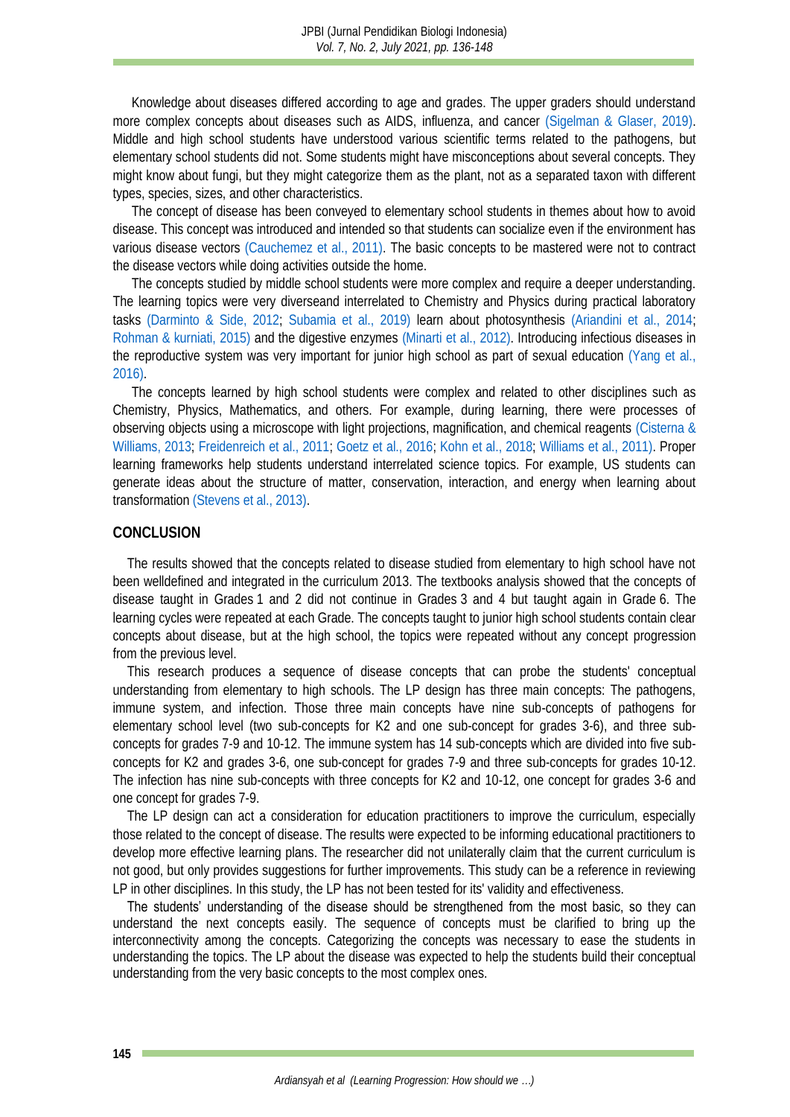Knowledge about diseases differed according to age and grades. The upper graders should understand more complex concepts about diseases such as AIDS, influenza, and cancer [\(Sigelman & Glaser, 2019\).](#page-11-14) Middle and high school students have understood various scientific terms related to the pathogens, but elementary school students did not. Some students might have misconceptions about several concepts. They might know about fungi, but they might categorize them as the plant, not as a separated taxon with different types, species, sizes, and other characteristics.

The concept of disease has been conveyed to elementary school students in themes about how to avoid disease. This concept was introduced and intended so that students can socialize even if the environment has various disease vectors [\(Cauchemez et al., 2011\).](#page-10-11) The basic concepts to be mastered were not to contract the disease vectors while doing activities outside the home.

The concepts studied by middle school students were more complex and require a deeper understanding. The learning topics were very diverseand interrelated to Chemistry and Physics during practical laboratory tasks (Darminto [& Side, 2012;](#page-10-12) Subamia [et al., 2019\)](#page-12-11) learn about photosynthesis (Ariandini [et al., 2014;](#page-10-13) [Rohman & kurniati, 2015\)](#page-11-15) and the digestive enzymes [\(Minarti](#page-11-16) et al., 2012). Introducing infectious diseases in the reproductive system was very important for junior high school as part of sexual education [\(Yang et al.,](#page-12-10)  2016).

The concepts learned by high school students were complex and related to other disciplines such as Chemistry, Physics, Mathematics, and others. For example, during learning, there were processes of observing objects using a microscope with light projections, magnification, and chemical reagents [\(Cisterna &](#page-10-14)  [Williams, 2013;](#page-10-14) [Freidenreich et al., 2011;](#page-10-15) [Goetz et al., 2016;](#page-10-16) [Kohn et al., 2018;](#page-11-11) Williams [et al., 2011\).](#page-12-12) Proper learning frameworks help students understand interrelated science topics. For example, US students can generate ideas about the structure of matter, conservation, interaction, and energy when learning about transformation [\(Stevens et al., 2013\).](#page-12-1)

#### **CONCLUSION**

The results showed that the concepts related to disease studied from elementary to high school have not been welldefined and integrated in the curriculum 2013. The textbooks analysis showed that the concepts of disease taught in Grades 1 and 2 did not continue in Grades 3 and 4 but taught again in Grade 6. The learning cycles were repeated at each Grade. The concepts taught to junior high school students contain clear concepts about disease, but at the high school, the topics were repeated without any concept progression from the previous level.

This research produces a sequence of disease concepts that can probe the students' conceptual understanding from elementary to high schools. The LP design has three main concepts: The pathogens, immune system, and infection. Those three main concepts have nine sub-concepts of pathogens for elementary school level (two sub-concepts for K2 and one sub-concept for grades 3-6), and three subconcepts for grades 7-9 and 10-12. The immune system has 14 sub-concepts which are divided into five subconcepts for K2 and grades 3-6, one sub-concept for grades 7-9 and three sub-concepts for grades 10-12. The infection has nine sub-concepts with three concepts for K2 and 10-12, one concept for grades 3-6 and one concept for grades 7-9.

The LP design can act a consideration for education practitioners to improve the curriculum, especially those related to the concept of disease. The results were expected to be informing educational practitioners to develop more effective learning plans. The researcher did not unilaterally claim that the current curriculum is not good, but only provides suggestions for further improvements. This study can be a reference in reviewing LP in other disciplines. In this study, the LP has not been tested for its' validity and effectiveness.

The students' understanding of the disease should be strengthened from the most basic, so they can understand the next concepts easily. The sequence of concepts must be clarified to bring up the interconnectivity among the concepts. Categorizing the concepts was necessary to ease the students in understanding the topics. The LP about the disease was expected to help the students build their conceptual understanding from the very basic concepts to the most complex ones.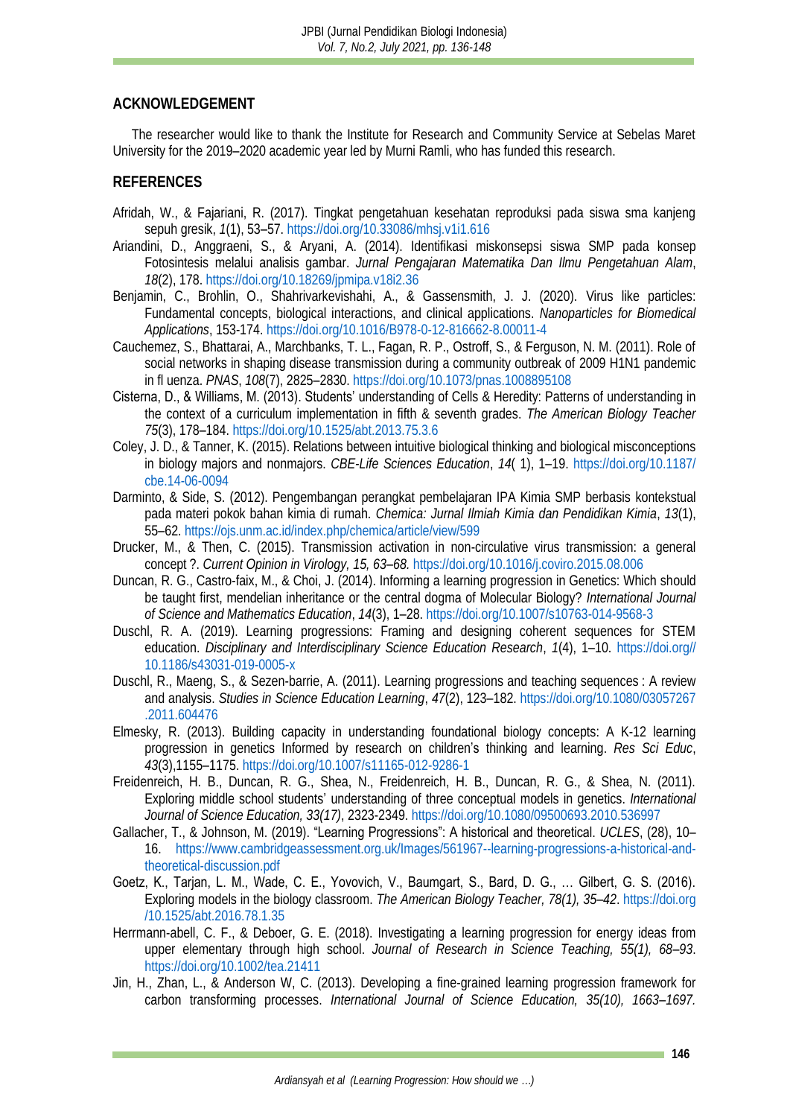## **ACKNOWLEDGEMENT**

The researcher would like to thank the Institute for Research and Community Service at Sebelas Maret University for the 2019–2020 academic year led by Murni Ramli, who has funded this research.

## **REFERENCES**

- <span id="page-10-8"></span>Afridah, W., & Fajariani, R. (2017). Tingkat pengetahuan kesehatan reproduksi pada siswa sma kanjeng sepuh gresik, *1*(1), 53–57[. https://doi.org/10.33086/mhsj.v1i1.616](https://doi.org/10.33086/mhsj.v1i1.616)
- <span id="page-10-13"></span>Ariandini, D., Anggraeni, S., & Aryani, A. (2014). Identifikasi miskonsepsi siswa SMP pada konsep Fotosintesis melalui analisis gambar. *Jurnal Pengajaran Matematika Dan Ilmu Pengetahuan Alam*, *18*(2), 178.<https://doi.org/10.18269/jpmipa.v18i2.36>
- <span id="page-10-5"></span>Benjamin, C., Brohlin, O., Shahrivarkevishahi, A., & Gassensmith, J. J. (2020). Virus like particles: Fundamental concepts, biological interactions, and clinical applications. *Nanoparticles for Biomedical Applications*, 153-174.<https://doi.org/10.1016/B978-0-12-816662-8.00011-4>
- <span id="page-10-11"></span>Cauchemez, S., Bhattarai, A., Marchbanks, T. L., Fagan, R. P., Ostroff, S., & Ferguson, N. M. (2011). Role of social networks in shaping disease transmission during a community outbreak of 2009 H1N1 pandemic in fl uenza. *PNAS*, *108*(7), 2825–2830.<https://doi.org/10.1073/pnas.1008895108>
- <span id="page-10-14"></span>Cisterna, D., & Williams, M. (2013). Students' understanding of Cells & Heredity: Patterns of understanding in the context of a curriculum implementation in fifth & seventh grades. *The American Biology Teacher 75*(3), 178–184.<https://doi.org/10.1525/abt.2013.75.3.6>
- <span id="page-10-7"></span>Coley, J. D., & Tanner, K. (2015). Relations between intuitive biological thinking and biological misconceptions in biology majors and nonmajors. *CBE-Life Sciences Education*, *14*( 1), 1–19. [https://doi.org/10.1187/](https://doi.org/10.1187/cbe.14-06-0094) [cbe.14-06-0094](https://doi.org/10.1187/cbe.14-06-0094)
- <span id="page-10-12"></span>Darminto, & Side, S. (2012). Pengembangan perangkat pembelajaran IPA Kimia SMP berbasis kontekstual pada materi pokok bahan kimia di rumah. *Chemica: Jurnal Ilmiah Kimia dan Pendidikan Kimia*, *13*(1), 55–62.<https://ojs.unm.ac.id/index.php/chemica/article/view/599>
- <span id="page-10-6"></span>Drucker, M., & Then, C. (2015). Transmission activation in non-circulative virus transmission: a general concept ?. *Current Opinion in Virology, 15, 63–68.* <https://doi.org/10.1016/j.coviro.2015.08.006>
- <span id="page-10-3"></span>Duncan, R. G., Castro-faix, M., & Choi, J. (2014). Informing a learning progression in Genetics: Which should be taught first, mendelian inheritance or the central dogma of Molecular Biology? *International Journal of Science and Mathematics Education*, *14*(3), 1–28.<https://doi.org/10.1007/s10763-014-9568-3>
- <span id="page-10-0"></span>Duschl, R. A. (2019). Learning progressions: Framing and designing coherent sequences for STEM education. *Disciplinary and Interdisciplinary Science Education Research*, *1*(4), 1–10. [https://doi.org//](https://doi.org/10.1186/s43031-019-0005-x) [10.1186/s43031-019-0005-x](https://doi.org/10.1186/s43031-019-0005-x)
- <span id="page-10-9"></span>Duschl, R., Maeng, S., & Sezen-barrie, A. (2011). Learning progressions and teaching sequences : A review and analysis. *Studies in Science Education Learning*, *47*(2), 123–182. [https://doi.org/10.1080/03057267](https://doi.org/10.1080/03057267.2011.604476) [.2011.604476](https://doi.org/10.1080/03057267.2011.604476)
- <span id="page-10-2"></span>Elmesky, R. (2013). Building capacity in understanding foundational biology concepts: A K-12 learning progression in genetics Informed by research on children's thinking and learning. *Res Sci Educ*, *43*(3),1155–1175.<https://doi.org/10.1007/s11165-012-9286-1>
- <span id="page-10-15"></span>Freidenreich, H. B., Duncan, R. G., Shea, N., Freidenreich, H. B., Duncan, R. G., & Shea, N. (2011). Exploring middle school students' understanding of three conceptual models in genetics. *International Journal of Science Education, 33(17)*, 2323-2349.<https://doi.org/10.1080/09500693.2010.536997>
- <span id="page-10-4"></span>Gallacher, T., & Johnson, M. (2019). "Learning Progressions": A historical and theoretical. *UCLES*, (28), 10– 16. [https://www.cambridgeassessment.org.uk/Images/561967--learning-progressions-a-historical-and](https://www.cambridgeassessment.org.uk/Images/561967--learning-progressions-a-historical-and-theoretical-discussion.pdf)[theoretical-discussion.pdf](https://www.cambridgeassessment.org.uk/Images/561967--learning-progressions-a-historical-and-theoretical-discussion.pdf)
- <span id="page-10-16"></span>Goetz, K., Tarjan, L. M., Wade, C. E., Yovovich, V., Baumgart, S., Bard, D. G., … Gilbert, G. S. (2016). Exploring models in the biology classroom. *The American Biology Teacher, 78(1), 35–42*. [https://doi.org](https://doi.org/10.1525/abt.2016.78.1.35) [/10.1525/abt.2016.78.1.35](https://doi.org/10.1525/abt.2016.78.1.35)
- <span id="page-10-1"></span>Herrmann-abell, C. F., & Deboer, G. E. (2018). Investigating a learning progression for energy ideas from upper elementary through high school. *Journal of Research in Science Teaching, 55(1), 68–93*. <https://doi.org/10.1002/tea.21411>
- <span id="page-10-10"></span>Jin, H., Zhan, L., & Anderson W, C. (2013). Developing a fine-grained learning progression framework for carbon transforming processes. *International Journal of Science Education, 35(10), 1663–1697.*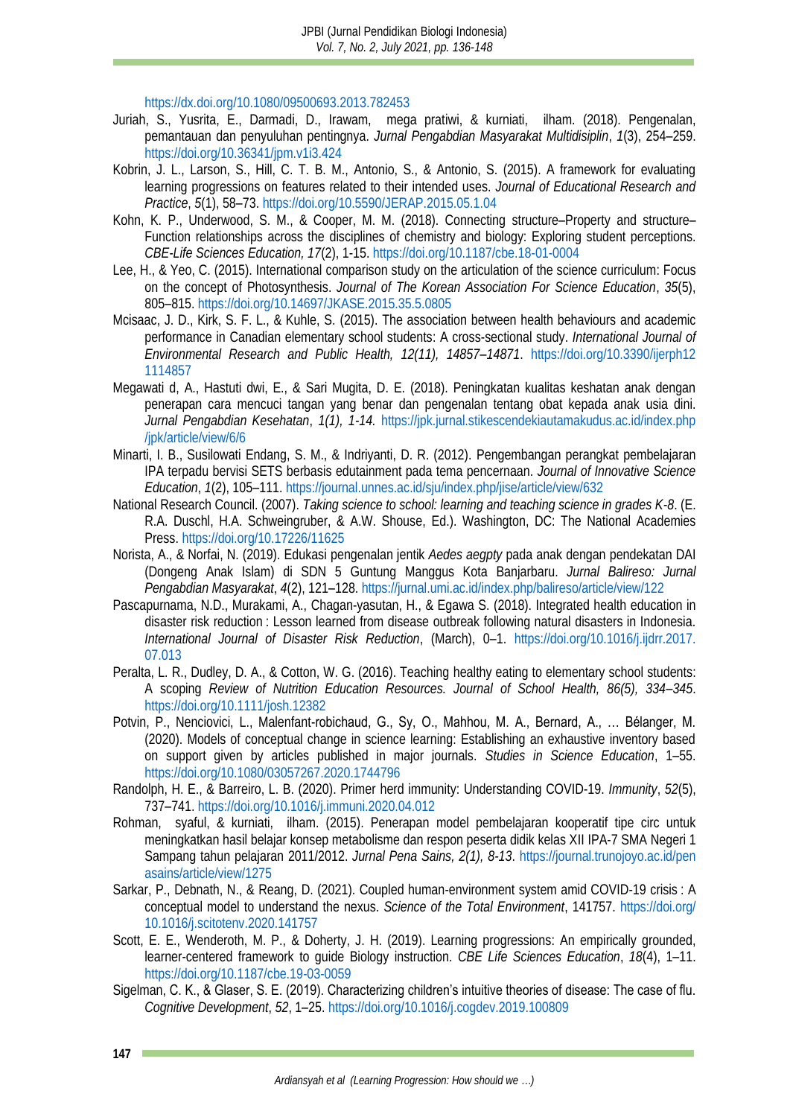<https://dx.doi.org/10.1080/09500693.2013.782453>

- <span id="page-11-1"></span>Juriah, S., Yusrita, E., Darmadi, D., Irawam, mega pratiwi, & kurniati, ilham. (2018). Pengenalan, pemantauan dan penyuluhan pentingnya. *Jurnal Pengabdian Masyarakat Multidisiplin*, *1*(3), 254–259. <https://doi.org/10.36341/jpm.v1i3.424>
- <span id="page-11-8"></span>Kobrin, J. L., Larson, S., Hill, C. T. B. M., Antonio, S., & Antonio, S. (2015). A framework for evaluating learning progressions on features related to their intended uses. *Journal of Educational Research and Practice*, *5*(1), 58–73.<https://doi.org/10.5590/JERAP.2015.05.1.04>
- <span id="page-11-11"></span>Kohn, K. P., Underwood, S. M., & Cooper, M. M. (2018). Connecting structure–Property and structure– Function relationships across the disciplines of chemistry and biology: Exploring student perceptions. *CBE-Life Sciences Education, 17*(2), 1-15.<https://doi.org/10.1187/cbe.18-01-0004>
- <span id="page-11-9"></span>Lee, H., & Yeo, C. (2015). International comparison study on the articulation of the science curriculum: Focus on the concept of Photosynthesis. *Journal of The Korean Association For Science Education*, *35*(5), 805–815.<https://doi.org/10.14697/JKASE.2015.35.5.0805>
- <span id="page-11-12"></span>Mcisaac, J. D., Kirk, S. F. L., & Kuhle, S. (2015). The association between health behaviours and academic performance in Canadian elementary school students: A cross-sectional study. *International Journal of Environmental Research and Public Health, 12(11), 14857–14871*. [https://doi.org/10.3390/ijerph12](https://doi.org/10.3390/ijerph121114857) [1114857](https://doi.org/10.3390/ijerph121114857)
- <span id="page-11-2"></span>Megawati d, A., Hastuti dwi, E., & Sari Mugita, D. E. (2018). Peningkatan kualitas keshatan anak dengan penerapan cara mencuci tangan yang benar dan pengenalan tentang obat kepada anak usia dini. *Jurnal Pengabdian Kesehatan*, *1(1), 1-14.* [https://jpk.jurnal.stikescendekiautamakudus.ac.id/index.php](https://jpk.jurnal.stikescendekiautamakudus.ac.id/index.php/jpk/article/view/6/6) [/jpk/article/view/6/6](https://jpk.jurnal.stikescendekiautamakudus.ac.id/index.php/jpk/article/view/6/6)
- <span id="page-11-16"></span>Minarti, I. B., Susilowati Endang, S. M., & Indriyanti, D. R. (2012). Pengembangan perangkat pembelajaran IPA terpadu bervisi SETS berbasis edutainment pada tema pencernaan. *Journal of Innovative Science Education*, *1*(2), 105–111[. https://journal.unnes.ac.id/sju/index.php/jise/article/view/632](https://journal.unnes.ac.id/sju/index.php/jise/article/view/632)
- <span id="page-11-0"></span>National Research Council. (2007). *Taking science to school: learning and teaching science in grades K-8*. (E. R.A. Duschl, H.A. Schweingruber, & A.W. Shouse, Ed.). Washington, DC: The National Academies Press.<https://doi.org/10.17226/11625>
- <span id="page-11-3"></span>Norista, A., & Norfai, N. (2019). Edukasi pengenalan jentik *Aedes aegpty* pada anak dengan pendekatan DAI (Dongeng Anak Islam) di SDN 5 Guntung Manggus Kota Banjarbaru. *Jurnal Balireso: Jurnal Pengabdian Masyarakat*, *4*(2), 121–128[. https://jurnal.umi.ac.id/index.php/balireso/article/view/122](https://jurnal.umi.ac.id/index.php/balireso/article/view/122)
- <span id="page-11-4"></span>Pascapurnama, N.D., Murakami, A., Chagan-yasutan, H., & Egawa S. (2018). Integrated health education in disaster risk reduction : Lesson learned from disease outbreak following natural disasters in Indonesia. *International Journal of Disaster Risk Reduction*, (March), 0–1. [https://doi.org/10.1016/j.ijdrr.2017.](https://doi.org/10.1016/j.ijdrr.2017.07.013) [07.013](https://doi.org/10.1016/j.ijdrr.2017.07.013)
- <span id="page-11-13"></span>Peralta, L. R., Dudley, D. A., & Cotton, W. G. (2016). Teaching healthy eating to elementary school students: A scoping *Review of Nutrition Education Resources. Journal of School Health, 86(5), 334–345*. <https://doi.org/10.1111/josh.12382>
- <span id="page-11-7"></span>Potvin, P., Nenciovici, L., Malenfant-robichaud, G., Sy, O., Mahhou, M. A., Bernard, A., ... Bélanger, M. (2020). Models of conceptual change in science learning: Establishing an exhaustive inventory based on support given by articles published in major journals. *Studies in Science Education*, 1–55. <https://doi.org/10.1080/03057267.2020.1744796>
- <span id="page-11-5"></span>Randolph, H. E., & Barreiro, L. B. (2020). Primer herd immunity: Understanding COVID-19. *Immunity*, *52*(5), 737–741.<https://doi.org/10.1016/j.immuni.2020.04.012>
- <span id="page-11-15"></span>Rohman, syaful, & kurniati, ilham. (2015). Penerapan model pembelajaran kooperatif tipe circ untuk meningkatkan hasil belajar konsep metabolisme dan respon peserta didik kelas XII IPA-7 SMA Negeri 1 Sampang tahun pelajaran 2011/2012. *Jurnal Pena Sains, 2(1), 8-13*. [https://journal.trunojoyo.ac.id/pen](https://journal.trunojoyo.ac.id/penasains/article/view/1275) [asains/article/view/1275](https://journal.trunojoyo.ac.id/penasains/article/view/1275)
- <span id="page-11-6"></span>Sarkar, P., Debnath, N., & Reang, D. (2021). Coupled human-environment system amid COVID-19 crisis : A conceptual model to understand the nexus. *Science of the Total Environment*, 141757. [https://doi.org/](https://doi.org/10.1016/j.scitotenv.2020.141757) [10.1016/j.scitotenv.2020.141757](https://doi.org/10.1016/j.scitotenv.2020.141757)
- <span id="page-11-10"></span>Scott, E. E., Wenderoth, M. P., & Doherty, J. H. (2019). Learning progressions: An empirically grounded, learner-centered framework to guide Biology instruction. *CBE Life Sciences Education*, *18*(4), 1–11. <https://doi.org/10.1187/cbe.19-03-0059>
- <span id="page-11-14"></span>Sigelman, C. K., & Glaser, S. E. (2019). Characterizing children's intuitive theories of disease: The case of flu. *Cognitive Development*, *52*, 1–25[. https://doi.org/10.1016/j.cogdev.2019.100809](https://doi.org/10.1016/j.cogdev.2019.100809)